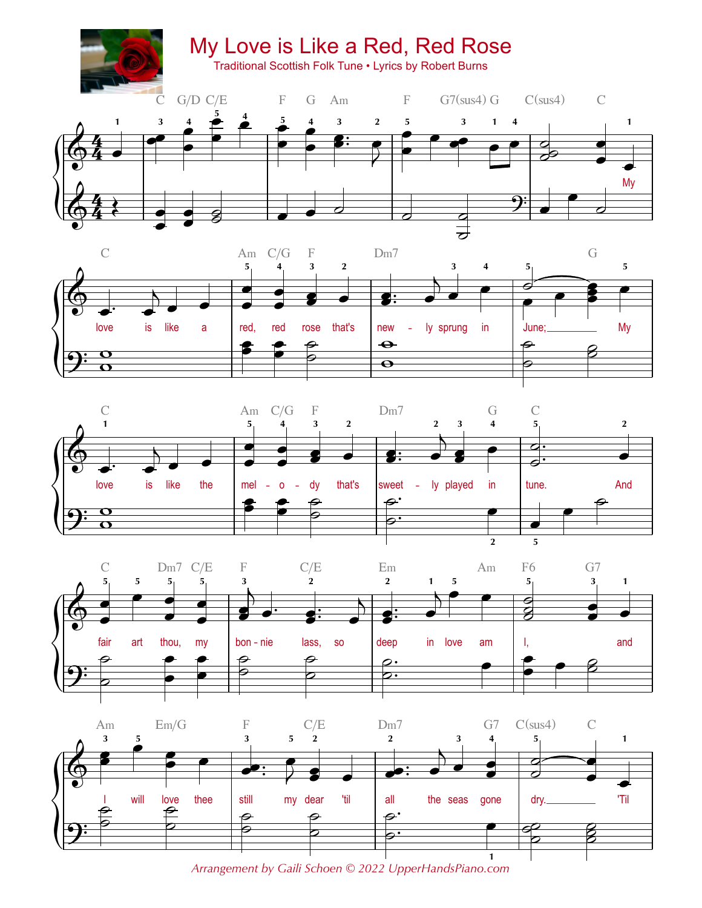









*Arrangement by Gaili Schoen © 2022 UpperHandsPiano.com*